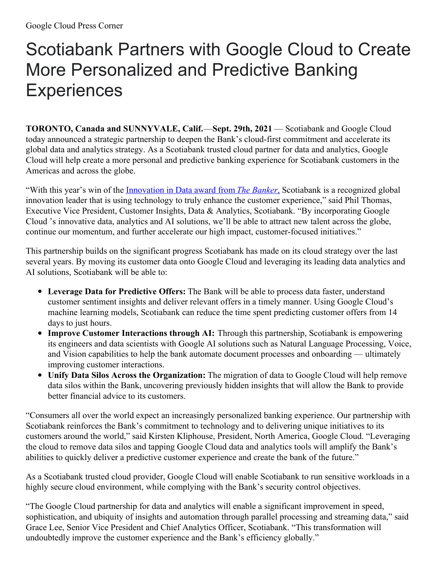## Scotiabank Partners with Google Cloud to Create More Personalized and Predictive Banking **Experiences**

**TORONTO, Canada and SUNNYVALE, Calif.**—**Sept. 29th, 2021** — Scotiabank and Google Cloud today announced a strategic partnership to deepen the Bank's cloud-first commitment and accelerate its global data and analytics strategy. As a Scotiabank trusted cloud partner for data and analytics, Google Cloud will help create a more personal and predictive banking experience for Scotiabank customers in the Americas and across the globe.

"With this year's win of the [Innovation](https://www.scotiabank.com/ca/en/about/perspectives.articles.digital.2021-08-banker-award-data-analytics-customer-experience-cx.html) in Data award from *The Banker*[,](https://nam11.safelinks.protection.outlook.com/?url=https%3A%2F%2Fwww.scotiabank.com%2Fca%2Fen%2Fabout%2Fperspectives.articles.digital.2021-08-banker-award-data-analytics-customer-experience-cx.html&data=04%7C01%7Csitesupport%40cision.com%7C099cec5100704ea8f41008d982c8ad83%7C887bf9ee3c824b88bcb280d5e169b99b%7C1%7C0%7C637684620684959801%7CUnknown%7CTWFpbGZsb3d8eyJWIjoiMC4wLjAwMDAiLCJQIjoiV2luMzIiLCJBTiI6Ik1haWwiLCJXVCI6Mn0%3D%7C1000&sdata=xKqUEkEF1EK8o1DFUrjs%2FsCGsv%2FijePiQrCfuqBOPGs%3D&reserved=0) Scotiabank is a recognized global innovation leader that is using technology to truly enhance the customer experience," said Phil Thomas, Executive Vice President, Customer Insights, Data & Analytics, Scotiabank. "By incorporating Google Cloud 's innovative data, analytics and AI solutions, we'll be able to attract new talent across the globe, continue our momentum, and further accelerate our high impact, customer-focused initiatives."

This partnership builds on the significant progress Scotiabank has made on its cloud strategy over the last several years. By moving its customer data onto Google Cloud and leveraging its leading data analytics and AI solutions, Scotiabank will be able to:

- **Leverage Data for Predictive Offers:** The Bank will be able to process data faster, understand customer sentiment insights and deliver relevant offers in a timely manner. Using Google Cloud's machine learning models, Scotiabank can reduce the time spent predicting customer offers from 14 days to just hours.
- **Improve Customer Interactions through AI:** Through this partnership, Scotiabank is empowering its engineers and data scientists with Google AI solutions such as Natural Language Processing, Voice, and Vision capabilities to help the bank automate document processes and onboarding — ultimately improving customer interactions.
- **Unify Data Silos Across the Organization:** The migration of data to Google Cloud will help remove data silos within the Bank, uncovering previously hidden insights that will allow the Bank to provide better financial advice to its customers.

"Consumers all over the world expect an increasingly personalized banking experience. Our partnership with Scotiabank reinforces the Bank's commitment to technology and to delivering unique initiatives to its customers around the world," said Kirsten Kliphouse, President, North America, Google Cloud. "Leveraging the cloud to remove data silos and tapping Google Cloud data and analytics tools will amplify the Bank's abilities to quickly deliver a predictive customer experience and create the bank of the future."

As a Scotiabank trusted cloud provider, Google Cloud will enable Scotiabank to run sensitive workloads in a highly secure cloud environment, while complying with the Bank's security control objectives.

"The Google Cloud partnership for data and analytics will enable a significant improvement in speed, sophistication, and ubiquity of insights and automation through parallel processing and streaming data," said Grace Lee, Senior Vice President and Chief Analytics Officer, Scotiabank. "This transformation will undoubtedly improve the customer experience and the Bank's efficiency globally."